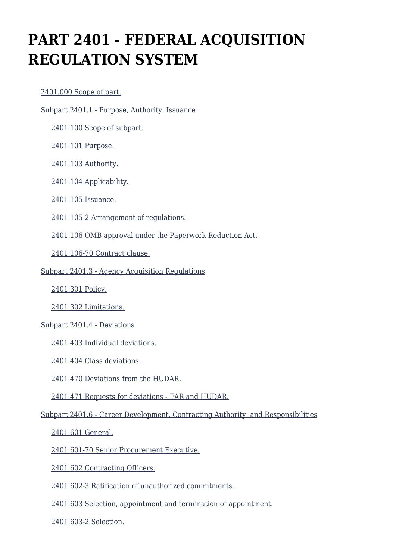# **PART 2401 - FEDERAL ACQUISITION REGULATION SYSTEM**

[2401.000 Scope of part.](https://origin-www.acquisition.gov/%5Brp:link:hudar-part-2401%5D#Section_2401_000_T48_609482011)

[Subpart 2401.1 - Purpose, Authority, Issuance](https://origin-www.acquisition.gov/%5Brp:link:hudar-part-2401%5D#Subpart_2401_1_T48_6094821)

[2401.100 Scope of subpart.](https://origin-www.acquisition.gov/%5Brp:link:hudar-part-2401%5D#Section_2401_100_T48_609482111)

[2401.101 Purpose.](https://origin-www.acquisition.gov/%5Brp:link:hudar-part-2401%5D#Section_2401_101_T48_609482112)

[2401.103 Authority.](https://origin-www.acquisition.gov/%5Brp:link:hudar-part-2401%5D#Section_2401_103_T48_609482113)

[2401.104 Applicability.](https://origin-www.acquisition.gov/%5Brp:link:hudar-part-2401%5D#Section_2401_104_T48_609482114)

[2401.105 Issuance.](https://origin-www.acquisition.gov/%5Brp:link:hudar-part-2401%5D#Section_2401_105_T48_609482115)

[2401.105-2 Arrangement of regulations.](https://origin-www.acquisition.gov/%5Brp:link:hudar-part-2401%5D#Section_2401_105_2_T48_609482116)

[2401.106 OMB approval under the Paperwork Reduction Act.](https://origin-www.acquisition.gov/%5Brp:link:hudar-part-2401%5D#Section_2401_106_T48_609482117)

[2401.106-70 Contract clause.](https://origin-www.acquisition.gov/%5Brp:link:hudar-part-2401%5D#Section_2401_106_70_T48_609482118)

[Subpart 2401.3 - Agency Acquisition Regulations](https://origin-www.acquisition.gov/%5Brp:link:hudar-part-2401%5D#Subpart_2401_3_T48_6094822)

[2401.301 Policy.](https://origin-www.acquisition.gov/%5Brp:link:hudar-part-2401%5D#Section_2401_301_T48_609482211)

[2401.302 Limitations.](https://origin-www.acquisition.gov/%5Brp:link:hudar-part-2401%5D#Section_2401_302_T48_609482212)

#### [Subpart 2401.4 - Deviations](https://origin-www.acquisition.gov/%5Brp:link:hudar-part-2401%5D#Subpart_2401_4_T48_6094823)

[2401.403 Individual deviations.](https://origin-www.acquisition.gov/%5Brp:link:hudar-part-2401%5D#Section_2401_403_T48_609482311)

[2401.404 Class deviations.](https://origin-www.acquisition.gov/%5Brp:link:hudar-part-2401%5D#Section_2401_404_T48_609482312)

[2401.470 Deviations from the HUDAR.](https://origin-www.acquisition.gov/%5Brp:link:hudar-part-2401%5D#Section_2401_470_T48_609482313)

[2401.471 Requests for deviations - FAR and HUDAR.](https://origin-www.acquisition.gov/%5Brp:link:hudar-part-2401%5D#Section_2401_471_T48_609482314)

[Subpart 2401.6 - Career Development, Contracting Authority, and Responsibilities](https://origin-www.acquisition.gov/%5Brp:link:hudar-part-2401%5D#Subpart_2401_6_T48_6094824)

[2401.601 General.](https://origin-www.acquisition.gov/%5Brp:link:hudar-part-2401%5D#Section_2401_601_T48_609482411)

[2401.601-70 Senior Procurement Executive.](https://origin-www.acquisition.gov/%5Brp:link:hudar-part-2401%5D#Section_2401_601_70_T48_609482412)

[2401.602 Contracting Officers.](https://origin-www.acquisition.gov/%5Brp:link:hudar-part-2401%5D#Section_2401_602_T48_609482413)

[2401.602-3 Ratification of unauthorized commitments.](https://origin-www.acquisition.gov/%5Brp:link:hudar-part-2401%5D#Section_2401_602_3_T48_609482414)

[2401.603 Selection, appointment and termination of appointment.](https://origin-www.acquisition.gov/%5Brp:link:hudar-part-2401%5D#Section_2401_603_T48_609482415)

[2401.603-2 Selection.](https://origin-www.acquisition.gov/%5Brp:link:hudar-part-2401%5D#Section_2401_603_2_T48_609482416)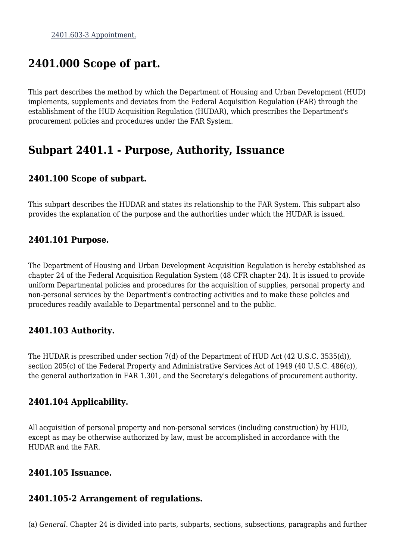## **2401.000 Scope of part.**

This part describes the method by which the Department of Housing and Urban Development (HUD) implements, supplements and deviates from the Federal Acquisition Regulation (FAR) through the establishment of the HUD Acquisition Regulation (HUDAR), which prescribes the Department's procurement policies and procedures under the FAR System.

### **Subpart 2401.1 - Purpose, Authority, Issuance**

### **2401.100 Scope of subpart.**

This subpart describes the HUDAR and states its relationship to the FAR System. This subpart also provides the explanation of the purpose and the authorities under which the HUDAR is issued.

### **2401.101 Purpose.**

The Department of Housing and Urban Development Acquisition Regulation is hereby established as chapter 24 of the Federal Acquisition Regulation System (48 CFR chapter 24). It is issued to provide uniform Departmental policies and procedures for the acquisition of supplies, personal property and non-personal services by the Department's contracting activities and to make these policies and procedures readily available to Departmental personnel and to the public.

### **2401.103 Authority.**

The HUDAR is prescribed under section 7(d) of the Department of HUD Act (42 U.S.C. 3535(d)), section 205(c) of the Federal Property and Administrative Services Act of 1949 (40 U.S.C. 486(c)), the general authorization in FAR 1.301, and the Secretary's delegations of procurement authority.

### **2401.104 Applicability.**

All acquisition of personal property and non-personal services (including construction) by HUD, except as may be otherwise authorized by law, must be accomplished in accordance with the HUDAR and the FAR.

#### **2401.105 Issuance.**

#### **2401.105-2 Arrangement of regulations.**

(a) *General.* Chapter 24 is divided into parts, subparts, sections, subsections, paragraphs and further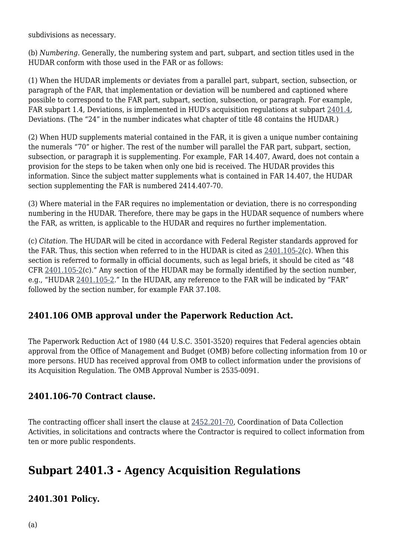subdivisions as necessary.

(b) *Numbering.* Generally, the numbering system and part, subpart, and section titles used in the HUDAR conform with those used in the FAR or as follows:

(1) When the HUDAR implements or deviates from a parallel part, subpart, section, subsection, or paragraph of the FAR, that implementation or deviation will be numbered and captioned where possible to correspond to the FAR part, subpart, section, subsection, or paragraph. For example, FAR subpart 1.4, Deviations, is implemented in HUD's acquisition regulations at subpart [2401.4,](https://origin-www.acquisition.gov/%5Brp:link:hudar-part-2401%5D#Subpart_2401_4_T48_6094823) Deviations. (The "24" in the number indicates what chapter of title 48 contains the HUDAR.)

(2) When HUD supplements material contained in the FAR, it is given a unique number containing the numerals "70" or higher. The rest of the number will parallel the FAR part, subpart, section, subsection, or paragraph it is supplementing. For example, FAR 14.407, Award, does not contain a provision for the steps to be taken when only one bid is received. The HUDAR provides this information. Since the subject matter supplements what is contained in FAR 14.407, the HUDAR section supplementing the FAR is numbered 2414.407-70.

(3) Where material in the FAR requires no implementation or deviation, there is no corresponding numbering in the HUDAR. Therefore, there may be gaps in the HUDAR sequence of numbers where the FAR, as written, is applicable to the HUDAR and requires no further implementation.

(c) *Citation.* The HUDAR will be cited in accordance with Federal Register standards approved for the FAR. Thus, this section when referred to in the HUDAR is cited as  $2401.105-2(c)$  $2401.105-2(c)$ . When this section is referred to formally in official documents, such as legal briefs, it should be cited as "48 CFR [2401.105-2](https://origin-www.acquisition.gov/%5Brp:link:hudar-part-2401%5D#Section_2401_105_2_T48_609482116)(c)." Any section of the HUDAR may be formally identified by the section number, e.g., "HUDAR [2401.105-2.](https://origin-www.acquisition.gov/%5Brp:link:hudar-part-2401%5D#Section_2401_105_2_T48_609482116)" In the HUDAR, any reference to the FAR will be indicated by "FAR" followed by the section number, for example FAR 37.108.

### **2401.106 OMB approval under the Paperwork Reduction Act.**

The Paperwork Reduction Act of 1980 (44 U.S.C. 3501-3520) requires that Federal agencies obtain approval from the Office of Management and Budget (OMB) before collecting information from 10 or more persons. HUD has received approval from OMB to collect information under the provisions of its Acquisition Regulation. The OMB Approval Number is 2535-0091.

### **2401.106-70 Contract clause.**

The contracting officer shall insert the clause at [2452.201-70,](https://origin-www.acquisition.gov/%5Brp:link:hudar-part-2452%5D#Section_2452_201_70_T48_6095537011) Coordination of Data Collection Activities, in solicitations and contracts where the Contractor is required to collect information from ten or more public respondents.

### **Subpart 2401.3 - Agency Acquisition Regulations**

### **2401.301 Policy.**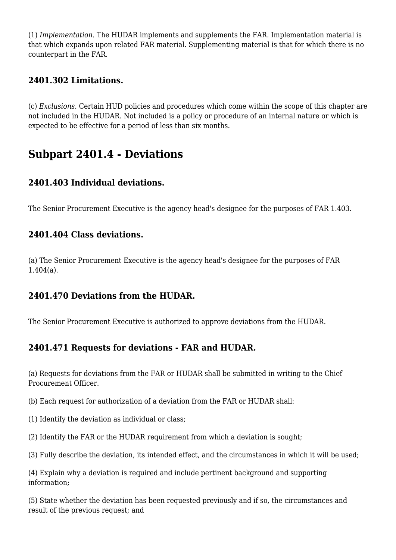(1) *Implementation.* The HUDAR implements and supplements the FAR. Implementation material is that which expands upon related FAR material. Supplementing material is that for which there is no counterpart in the FAR.

### **2401.302 Limitations.**

(c) *Exclusions.* Certain HUD policies and procedures which come within the scope of this chapter are not included in the HUDAR. Not included is a policy or procedure of an internal nature or which is expected to be effective for a period of less than six months.

### **Subpart 2401.4 - Deviations**

### **2401.403 Individual deviations.**

The Senior Procurement Executive is the agency head's designee for the purposes of FAR 1.403.

### **2401.404 Class deviations.**

(a) The Senior Procurement Executive is the agency head's designee for the purposes of FAR 1.404(a).

#### **2401.470 Deviations from the HUDAR.**

The Senior Procurement Executive is authorized to approve deviations from the HUDAR.

### **2401.471 Requests for deviations - FAR and HUDAR.**

(a) Requests for deviations from the FAR or HUDAR shall be submitted in writing to the Chief Procurement Officer.

(b) Each request for authorization of a deviation from the FAR or HUDAR shall:

- (1) Identify the deviation as individual or class;
- (2) Identify the FAR or the HUDAR requirement from which a deviation is sought;
- (3) Fully describe the deviation, its intended effect, and the circumstances in which it will be used;

(4) Explain why a deviation is required and include pertinent background and supporting information;

(5) State whether the deviation has been requested previously and if so, the circumstances and result of the previous request; and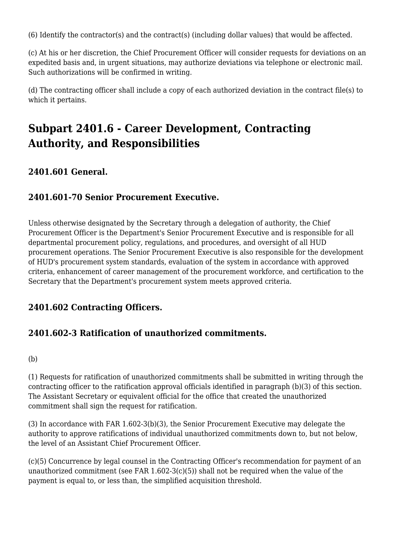(6) Identify the contractor(s) and the contract(s) (including dollar values) that would be affected.

(c) At his or her discretion, the Chief Procurement Officer will consider requests for deviations on an expedited basis and, in urgent situations, may authorize deviations via telephone or electronic mail. Such authorizations will be confirmed in writing.

(d) The contracting officer shall include a copy of each authorized deviation in the contract file(s) to which it pertains.

# **Subpart 2401.6 - Career Development, Contracting Authority, and Responsibilities**

### **2401.601 General.**

### **2401.601-70 Senior Procurement Executive.**

Unless otherwise designated by the Secretary through a delegation of authority, the Chief Procurement Officer is the Department's Senior Procurement Executive and is responsible for all departmental procurement policy, regulations, and procedures, and oversight of all HUD procurement operations. The Senior Procurement Executive is also responsible for the development of HUD's procurement system standards, evaluation of the system in accordance with approved criteria, enhancement of career management of the procurement workforce, and certification to the Secretary that the Department's procurement system meets approved criteria.

### **2401.602 Contracting Officers.**

### **2401.602-3 Ratification of unauthorized commitments.**

#### (b)

(1) Requests for ratification of unauthorized commitments shall be submitted in writing through the contracting officer to the ratification approval officials identified in paragraph (b)(3) of this section. The Assistant Secretary or equivalent official for the office that created the unauthorized commitment shall sign the request for ratification.

(3) In accordance with FAR 1.602-3(b)(3), the Senior Procurement Executive may delegate the authority to approve ratifications of individual unauthorized commitments down to, but not below, the level of an Assistant Chief Procurement Officer.

(c)(5) Concurrence by legal counsel in the Contracting Officer's recommendation for payment of an unauthorized commitment (see FAR 1.602-3(c)(5)) shall not be required when the value of the payment is equal to, or less than, the simplified acquisition threshold.